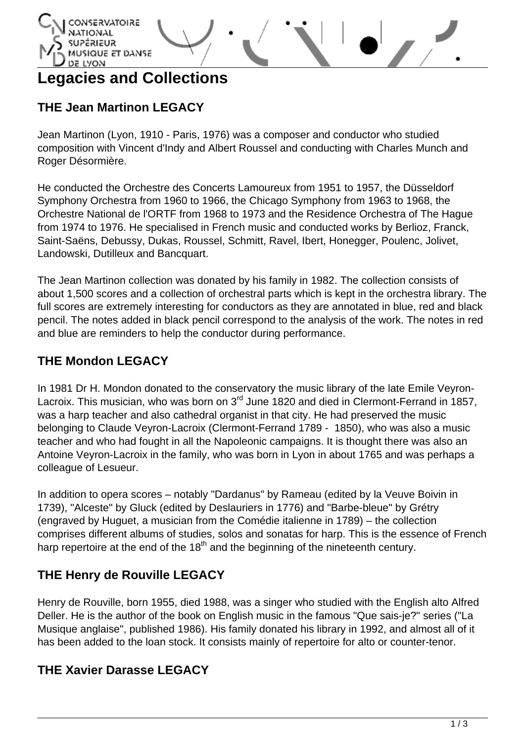

# **Legacies and Collections**

## **THE Jean Martinon LEGACY**

Jean Martinon (Lyon, 1910 - Paris, 1976) was a composer and conductor who studied composition with Vincent d'Indy and Albert Roussel and conducting with Charles Munch and Roger Désormière.

He conducted the Orchestre des Concerts Lamoureux from 1951 to 1957, the Düsseldorf Symphony Orchestra from 1960 to 1966, the Chicago Symphony from 1963 to 1968, the Orchestre National de l'ORTF from 1968 to 1973 and the Residence Orchestra of The Hague from 1974 to 1976. He specialised in French music and conducted works by Berlioz, Franck, Saint-Saëns, Debussy, Dukas, Roussel, Schmitt, Ravel, Ibert, Honegger, Poulenc, Jolivet, Landowski, Dutilleux and Bancquart.

The Jean Martinon collection was donated by his family in 1982. The collection consists of about 1,500 scores and a collection of orchestral parts which is kept in the orchestra library. The full scores are extremely interesting for conductors as they are annotated in blue, red and black pencil. The notes added in black pencil correspond to the analysis of the work. The notes in red and blue are reminders to help the conductor during performance.

#### **THE Mondon LEGACY**

In 1981 Dr H. Mondon donated to the conservatory the music library of the late Emile Veyron-Lacroix. This musician, who was born on 3<sup>rd</sup> June 1820 and died in Clermont-Ferrand in 1857, was a harp teacher and also cathedral organist in that city. He had preserved the music belonging to Claude Veyron-Lacroix (Clermont-Ferrand 1789 - 1850), who was also a music teacher and who had fought in all the Napoleonic campaigns. It is thought there was also an Antoine Veyron-Lacroix in the family, who was born in Lyon in about 1765 and was perhaps a colleague of Lesueur.

In addition to opera scores – notably "Dardanus" by Rameau (edited by la Veuve Boivin in 1739), "Alceste" by Gluck (edited by Deslauriers in 1776) and "Barbe-bleue" by Grétry (engraved by Huguet, a musician from the Comédie italienne in 1789) – the collection comprises different albums of studies, solos and sonatas for harp. This is the essence of French harp repertoire at the end of the  $18<sup>th</sup>$  and the beginning of the nineteenth century.

#### **THE Henry de Rouville LEGACY**

Henry de Rouville, born 1955, died 1988, was a singer who studied with the English alto Alfred Deller. He is the author of the book on English music in the famous "Que sais-je?" series ("La Musique anglaise", published 1986). His family donated his library in 1992, and almost all of it has been added to the loan stock. It consists mainly of repertoire for alto or counter-tenor.

#### **THE Xavier Darasse LEGACY**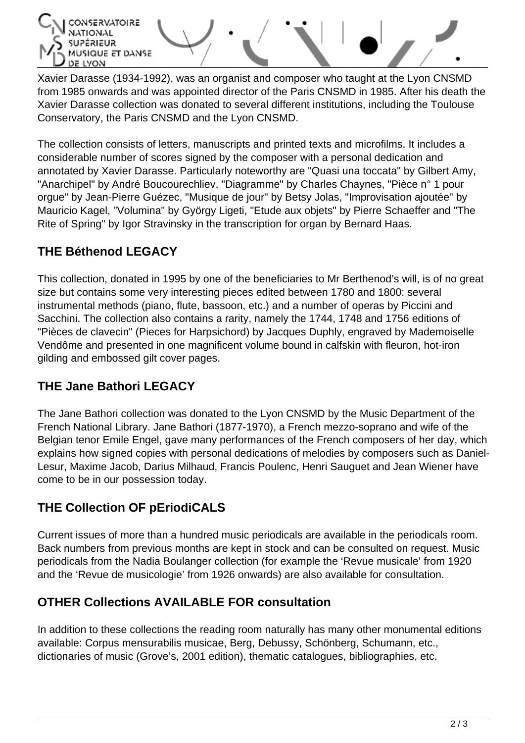

Xavier Darasse (1934-1992), was an organist and composer who taught at the Lyon CNSMD from 1985 onwards and was appointed director of the Paris CNSMD in 1985. After his death the Xavier Darasse collection was donated to several different institutions, including the Toulouse Conservatory, the Paris CNSMD and the Lyon CNSMD.

The collection consists of letters, manuscripts and printed texts and microfilms. It includes a considerable number of scores signed by the composer with a personal dedication and annotated by Xavier Darasse. Particularly noteworthy are "Quasi una toccata" by Gilbert Amy, "Anarchipel" by André Boucourechliev, "Diagramme" by Charles Chaynes, "Pièce n° 1 pour orgue" by Jean-Pierre Guézec, "Musique de jour" by Betsy Jolas, "Improvisation ajoutée" by Mauricio Kagel, "Volumina" by György Ligeti, "Etude aux objets" by Pierre Schaeffer and "The Rite of Spring" by Igor Stravinsky in the transcription for organ by Bernard Haas.

### **THE Béthenod LEGACY**

This collection, donated in 1995 by one of the beneficiaries to Mr Berthenod's will, is of no great size but contains some very interesting pieces edited between 1780 and 1800: several instrumental methods (piano, flute, bassoon, etc.) and a number of operas by Piccini and Sacchini. The collection also contains a rarity, namely the 1744, 1748 and 1756 editions of "Pièces de clavecin" (Pieces for Harpsichord) by Jacques Duphly, engraved by Mademoiselle Vendôme and presented in one magnificent volume bound in calfskin with fleuron, hot-iron gilding and embossed gilt cover pages.

#### **THE Jane Bathori LEGACY**

The Jane Bathori collection was donated to the Lyon CNSMD by the Music Department of the French National Library. Jane Bathori (1877-1970), a French mezzo-soprano and wife of the Belgian tenor Emile Engel, gave many performances of the French composers of her day, which explains how signed copies with personal dedications of melodies by composers such as Daniel-Lesur, Maxime Jacob, Darius Milhaud, Francis Poulenc, Henri Sauguet and Jean Wiener have come to be in our possession today.

#### **THE Collection OF pEriodiCALS**

Current issues of more than a hundred music periodicals are available in the periodicals room. Back numbers from previous months are kept in stock and can be consulted on request. Music periodicals from the Nadia Boulanger collection (for example the 'Revue musicale' from 1920 and the 'Revue de musicologie' from 1926 onwards) are also available for consultation.

#### **OTHER Collections AVAILABLE FOR consultation**

In addition to these collections the reading room naturally has many other monumental editions available: Corpus mensurabilis musicae, Berg, Debussy, Schönberg, Schumann, etc., dictionaries of music (Grove's, 2001 edition), thematic catalogues, bibliographies, etc.